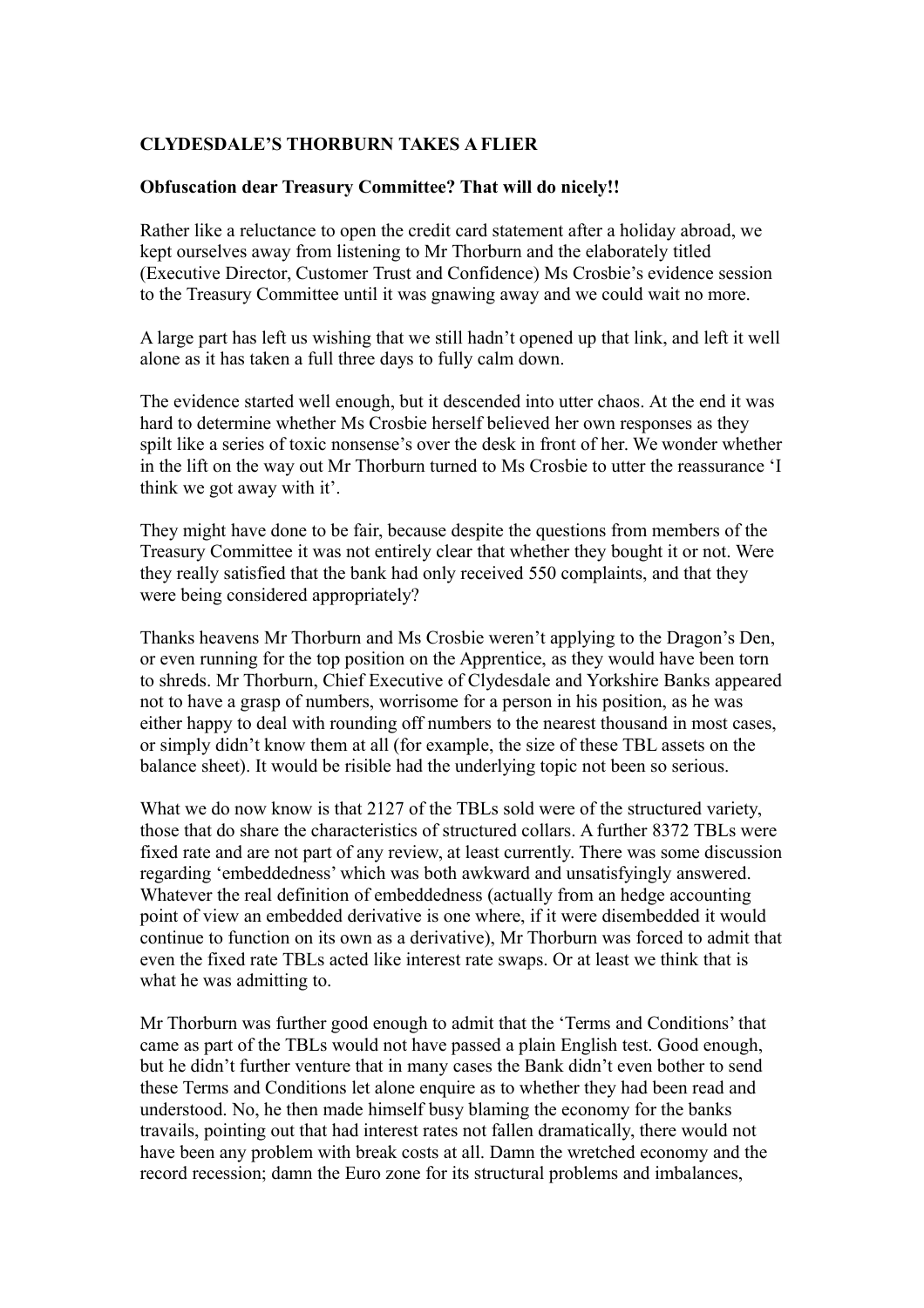## **CLYDESDALE'S THORBURN TAKES A FLIER**

## **Obfuscation dear Treasury Committee? That will do nicely!!**

Rather like a reluctance to open the credit card statement after a holiday abroad, we kept ourselves away from listening to Mr Thorburn and the elaborately titled (Executive Director, Customer Trust and Confidence) Ms Crosbie's evidence session to the Treasury Committee until it was gnawing away and we could wait no more.

A large part has left us wishing that we still hadn't opened up that link, and left it well alone as it has taken a full three days to fully calm down.

The evidence started well enough, but it descended into utter chaos. At the end it was hard to determine whether Ms Crosbie herself believed her own responses as they spilt like a series of toxic nonsense's over the desk in front of her. We wonder whether in the lift on the way out Mr Thorburn turned to Ms Crosbie to utter the reassurance 'I think we got away with it'.

They might have done to be fair, because despite the questions from members of the Treasury Committee it was not entirely clear that whether they bought it or not. Were they really satisfied that the bank had only received 550 complaints, and that they were being considered appropriately?

Thanks heavens Mr Thorburn and Ms Crosbie weren't applying to the Dragon's Den, or even running for the top position on the Apprentice, as they would have been torn to shreds. Mr Thorburn, Chief Executive of Clydesdale and Yorkshire Banks appeared not to have a grasp of numbers, worrisome for a person in his position, as he was either happy to deal with rounding off numbers to the nearest thousand in most cases, or simply didn't know them at all (for example, the size of these TBL assets on the balance sheet). It would be risible had the underlying topic not been so serious.

What we do now know is that 2127 of the TBLs sold were of the structured variety, those that do share the characteristics of structured collars. A further 8372 TBLs were fixed rate and are not part of any review, at least currently. There was some discussion regarding 'embeddedness' which was both awkward and unsatisfyingly answered. Whatever the real definition of embeddedness (actually from an hedge accounting point of view an embedded derivative is one where, if it were disembedded it would continue to function on its own as a derivative), Mr Thorburn was forced to admit that even the fixed rate TBLs acted like interest rate swaps. Or at least we think that is what he was admitting to.

Mr Thorburn was further good enough to admit that the 'Terms and Conditions' that came as part of the TBLs would not have passed a plain English test. Good enough, but he didn't further venture that in many cases the Bank didn't even bother to send these Terms and Conditions let alone enquire as to whether they had been read and understood. No, he then made himself busy blaming the economy for the banks travails, pointing out that had interest rates not fallen dramatically, there would not have been any problem with break costs at all. Damn the wretched economy and the record recession; damn the Euro zone for its structural problems and imbalances,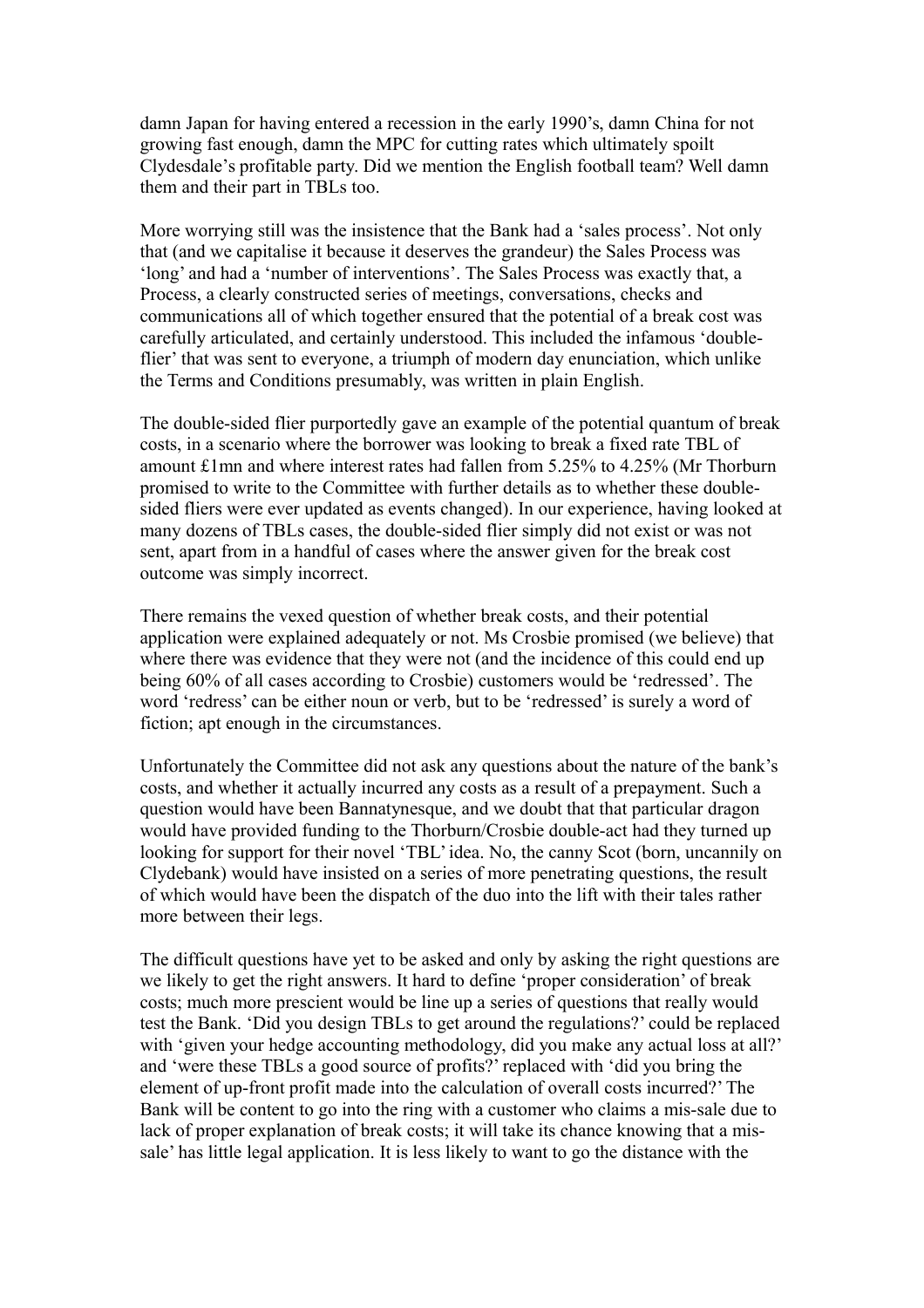damn Japan for having entered a recession in the early 1990's, damn China for not growing fast enough, damn the MPC for cutting rates which ultimately spoilt Clydesdale's profitable party. Did we mention the English football team? Well damn them and their part in TBLs too.

More worrying still was the insistence that the Bank had a 'sales process'. Not only that (and we capitalise it because it deserves the grandeur) the Sales Process was 'long' and had a 'number of interventions'. The Sales Process was exactly that, a Process, a clearly constructed series of meetings, conversations, checks and communications all of which together ensured that the potential of a break cost was carefully articulated, and certainly understood. This included the infamous 'doubleflier' that was sent to everyone, a triumph of modern day enunciation, which unlike the Terms and Conditions presumably, was written in plain English.

The double-sided flier purportedly gave an example of the potential quantum of break costs, in a scenario where the borrower was looking to break a fixed rate TBL of amount £1mn and where interest rates had fallen from 5.25% to 4.25% (Mr Thorburn promised to write to the Committee with further details as to whether these doublesided fliers were ever updated as events changed). In our experience, having looked at many dozens of TBLs cases, the double-sided flier simply did not exist or was not sent, apart from in a handful of cases where the answer given for the break cost outcome was simply incorrect.

There remains the vexed question of whether break costs, and their potential application were explained adequately or not. Ms Crosbie promised (we believe) that where there was evidence that they were not (and the incidence of this could end up being 60% of all cases according to Crosbie) customers would be 'redressed'. The word 'redress' can be either noun or verb, but to be 'redressed' is surely a word of fiction; apt enough in the circumstances.

Unfortunately the Committee did not ask any questions about the nature of the bank's costs, and whether it actually incurred any costs as a result of a prepayment. Such a question would have been Bannatynesque, and we doubt that that particular dragon would have provided funding to the Thorburn/Crosbie double-act had they turned up looking for support for their novel 'TBL' idea. No, the canny Scot (born, uncannily on Clydebank) would have insisted on a series of more penetrating questions, the result of which would have been the dispatch of the duo into the lift with their tales rather more between their legs.

The difficult questions have yet to be asked and only by asking the right questions are we likely to get the right answers. It hard to define 'proper consideration' of break costs; much more prescient would be line up a series of questions that really would test the Bank. 'Did you design TBLs to get around the regulations?' could be replaced with 'given your hedge accounting methodology, did you make any actual loss at all?' and 'were these TBLs a good source of profits?' replaced with 'did you bring the element of up-front profit made into the calculation of overall costs incurred?' The Bank will be content to go into the ring with a customer who claims a mis-sale due to lack of proper explanation of break costs; it will take its chance knowing that a missale' has little legal application. It is less likely to want to go the distance with the